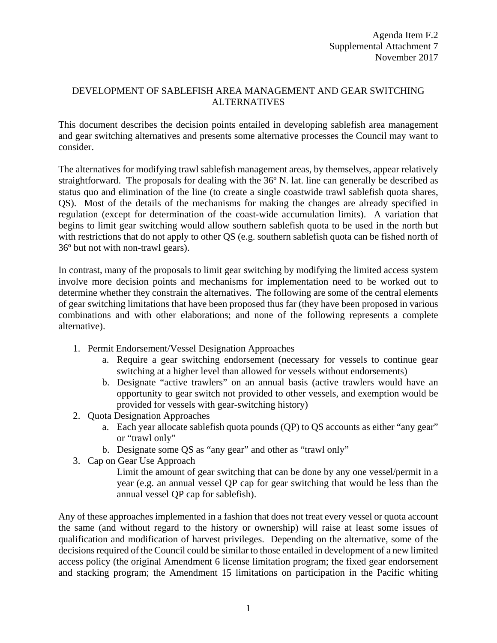## DEVELOPMENT OF SABLEFISH AREA MANAGEMENT AND GEAR SWITCHING ALTERNATIVES

This document describes the decision points entailed in developing sablefish area management and gear switching alternatives and presents some alternative processes the Council may want to consider.

The alternatives for modifying trawl sablefish management areas, by themselves, appear relatively straightforward. The proposals for dealing with the 36º N. lat. line can generally be described as status quo and elimination of the line (to create a single coastwide trawl sablefish quota shares, QS). Most of the details of the mechanisms for making the changes are already specified in regulation (except for determination of the coast-wide accumulation limits). A variation that begins to limit gear switching would allow southern sablefish quota to be used in the north but with restrictions that do not apply to other QS (e.g. southern sablefish quota can be fished north of 36º but not with non-trawl gears).

In contrast, many of the proposals to limit gear switching by modifying the limited access system involve more decision points and mechanisms for implementation need to be worked out to determine whether they constrain the alternatives. The following are some of the central elements of gear switching limitations that have been proposed thus far (they have been proposed in various combinations and with other elaborations; and none of the following represents a complete alternative).

- 1. Permit Endorsement/Vessel Designation Approaches
	- a. Require a gear switching endorsement (necessary for vessels to continue gear switching at a higher level than allowed for vessels without endorsements)
	- b. Designate "active trawlers" on an annual basis (active trawlers would have an opportunity to gear switch not provided to other vessels, and exemption would be provided for vessels with gear-switching history)
- 2. Quota Designation Approaches
	- a. Each year allocate sablefish quota pounds (QP) to QS accounts as either "any gear" or "trawl only"
	- b. Designate some QS as "any gear" and other as "trawl only"
- 3. Cap on Gear Use Approach

Limit the amount of gear switching that can be done by any one vessel/permit in a year (e.g. an annual vessel QP cap for gear switching that would be less than the annual vessel QP cap for sablefish).

Any of these approaches implemented in a fashion that does not treat every vessel or quota account the same (and without regard to the history or ownership) will raise at least some issues of qualification and modification of harvest privileges. Depending on the alternative, some of the decisions required of the Council could be similar to those entailed in development of a new limited access policy (the original Amendment 6 license limitation program; the fixed gear endorsement and stacking program; the Amendment 15 limitations on participation in the Pacific whiting